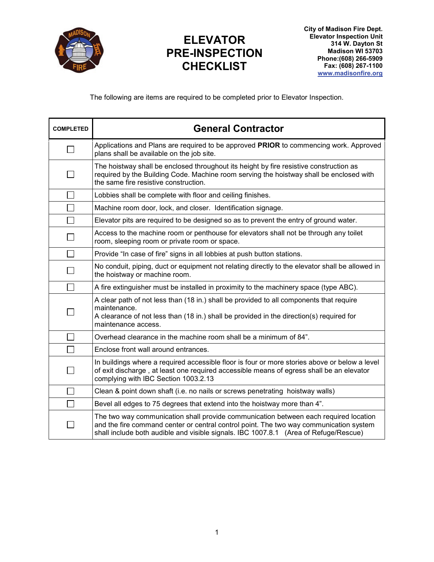

## **ELEVATOR PRE-INSPECTION CHECKLIST**

The following are items are required to be completed prior to Elevator Inspection.

| <b>COMPLETED</b> | <b>General Contractor</b>                                                                                                                                                                                                                                              |
|------------------|------------------------------------------------------------------------------------------------------------------------------------------------------------------------------------------------------------------------------------------------------------------------|
|                  | Applications and Plans are required to be approved PRIOR to commencing work. Approved<br>plans shall be available on the job site.                                                                                                                                     |
|                  | The hoistway shall be enclosed throughout its height by fire resistive construction as<br>required by the Building Code. Machine room serving the hoistway shall be enclosed with<br>the same fire resistive construction.                                             |
|                  | Lobbies shall be complete with floor and ceiling finishes.                                                                                                                                                                                                             |
|                  | Machine room door, lock, and closer. Identification signage.                                                                                                                                                                                                           |
|                  | Elevator pits are required to be designed so as to prevent the entry of ground water.                                                                                                                                                                                  |
|                  | Access to the machine room or penthouse for elevators shall not be through any toilet<br>room, sleeping room or private room or space.                                                                                                                                 |
|                  | Provide "In case of fire" signs in all lobbies at push button stations.                                                                                                                                                                                                |
|                  | No conduit, piping, duct or equipment not relating directly to the elevator shall be allowed in<br>the hoistway or machine room.                                                                                                                                       |
| $\sim$           | A fire extinguisher must be installed in proximity to the machinery space (type ABC).                                                                                                                                                                                  |
|                  | A clear path of not less than (18 in.) shall be provided to all components that require<br>maintenance.<br>A clearance of not less than (18 in.) shall be provided in the direction(s) required for<br>maintenance access.                                             |
|                  | Overhead clearance in the machine room shall be a minimum of 84".                                                                                                                                                                                                      |
|                  | Enclose front wall around entrances.                                                                                                                                                                                                                                   |
|                  | In buildings where a required accessible floor is four or more stories above or below a level<br>of exit discharge, at least one required accessible means of egress shall be an elevator<br>complying with IBC Section 1003.2.13                                      |
|                  | Clean & point down shaft (i.e. no nails or screws penetrating hoistway walls)                                                                                                                                                                                          |
|                  | Bevel all edges to 75 degrees that extend into the hoistway more than 4".                                                                                                                                                                                              |
|                  | The two way communication shall provide communication between each required location<br>and the fire command center or central control point. The two way communication system<br>shall include both audible and visible signals. IBC 1007.8.1 (Area of Refuge/Rescue) |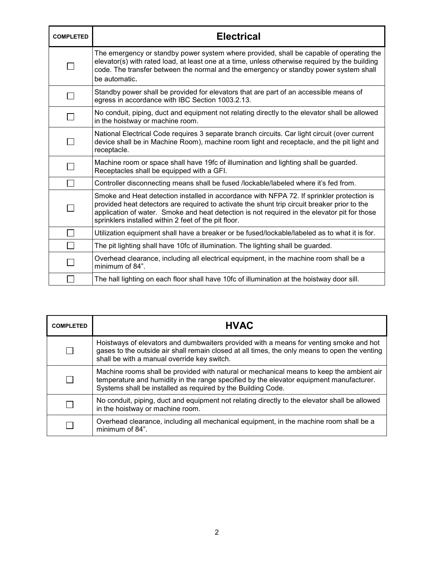| <b>COMPLETED</b> | <b>Electrical</b>                                                                                                                                                                                                                                                                                                                                 |
|------------------|---------------------------------------------------------------------------------------------------------------------------------------------------------------------------------------------------------------------------------------------------------------------------------------------------------------------------------------------------|
|                  | The emergency or standby power system where provided, shall be capable of operating the<br>elevator(s) with rated load, at least one at a time, unless otherwise required by the building<br>code. The transfer between the normal and the emergency or standby power system shall<br>be automatic.                                               |
|                  | Standby power shall be provided for elevators that are part of an accessible means of<br>egress in accordance with IBC Section 1003.2.13.                                                                                                                                                                                                         |
|                  | No conduit, piping, duct and equipment not relating directly to the elevator shall be allowed<br>in the hoistway or machine room.                                                                                                                                                                                                                 |
|                  | National Electrical Code requires 3 separate branch circuits. Car light circuit (over current<br>device shall be in Machine Room), machine room light and receptacle, and the pit light and<br>receptacle.                                                                                                                                        |
|                  | Machine room or space shall have 19fc of illumination and lighting shall be guarded.<br>Receptacles shall be equipped with a GFI.                                                                                                                                                                                                                 |
|                  | Controller disconnecting means shall be fused /lockable/labeled where it's fed from.                                                                                                                                                                                                                                                              |
|                  | Smoke and Heat detection installed in accordance with NFPA 72. If sprinkler protection is<br>provided heat detectors are required to activate the shunt trip circuit breaker prior to the<br>application of water. Smoke and heat detection is not required in the elevator pit for those<br>sprinklers installed within 2 feet of the pit floor. |
|                  | Utilization equipment shall have a breaker or be fused/lockable/labeled as to what it is for.                                                                                                                                                                                                                                                     |
|                  | The pit lighting shall have 10fc of illumination. The lighting shall be guarded.                                                                                                                                                                                                                                                                  |
|                  | Overhead clearance, including all electrical equipment, in the machine room shall be a<br>minimum of 84".                                                                                                                                                                                                                                         |
|                  | The hall lighting on each floor shall have 10fc of illumination at the hoistway door sill.                                                                                                                                                                                                                                                        |

| <b>COMPLETED</b> | <b>HVAC</b>                                                                                                                                                                                                                                         |
|------------------|-----------------------------------------------------------------------------------------------------------------------------------------------------------------------------------------------------------------------------------------------------|
|                  | Hoistways of elevators and dumbwaiters provided with a means for venting smoke and hot<br>gases to the outside air shall remain closed at all times, the only means to open the venting<br>shall be with a manual override key switch.              |
|                  | Machine rooms shall be provided with natural or mechanical means to keep the ambient air<br>temperature and humidity in the range specified by the elevator equipment manufacturer.<br>Systems shall be installed as required by the Building Code. |
|                  | No conduit, piping, duct and equipment not relating directly to the elevator shall be allowed<br>in the hoistway or machine room.                                                                                                                   |
|                  | Overhead clearance, including all mechanical equipment, in the machine room shall be a<br>minimum of 84".                                                                                                                                           |